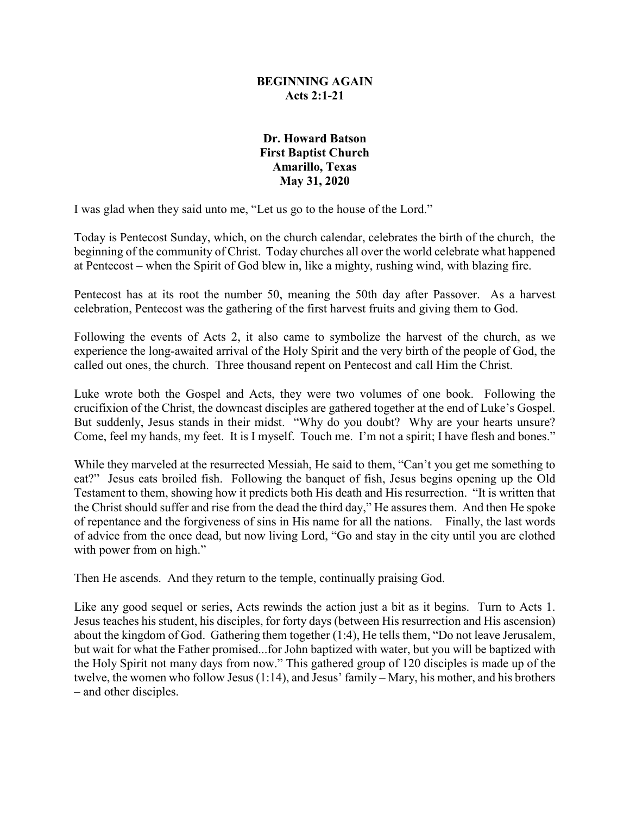### **BEGINNING AGAIN Acts 2:1-21**

### **Dr. Howard Batson First Baptist Church Amarillo, Texas May 31, 2020**

I was glad when they said unto me, "Let us go to the house of the Lord."

Today is Pentecost Sunday, which, on the church calendar, celebrates the birth of the church, the beginning of the community of Christ. Today churches all over the world celebrate what happened at Pentecost – when the Spirit of God blew in, like a mighty, rushing wind, with blazing fire.

Pentecost has at its root the number 50, meaning the 50th day after Passover. As a harvest celebration, Pentecost was the gathering of the first harvest fruits and giving them to God.

Following the events of Acts 2, it also came to symbolize the harvest of the church, as we experience the long-awaited arrival of the Holy Spirit and the very birth of the people of God, the called out ones, the church. Three thousand repent on Pentecost and call Him the Christ.

Luke wrote both the Gospel and Acts, they were two volumes of one book. Following the crucifixion of the Christ, the downcast disciples are gathered together at the end of Luke's Gospel. But suddenly, Jesus stands in their midst. "Why do you doubt? Why are your hearts unsure? Come, feel my hands, my feet. It is I myself. Touch me. I'm not a spirit; I have flesh and bones."

While they marveled at the resurrected Messiah, He said to them, "Can't you get me something to eat?" Jesus eats broiled fish. Following the banquet of fish, Jesus begins opening up the Old Testament to them, showing how it predicts both His death and His resurrection. "It is written that the Christ should suffer and rise from the dead the third day," He assures them. And then He spoke of repentance and the forgiveness of sins in His name for all the nations. Finally, the last words of advice from the once dead, but now living Lord, "Go and stay in the city until you are clothed with power from on high."

Then He ascends. And they return to the temple, continually praising God.

Like any good sequel or series, Acts rewinds the action just a bit as it begins. Turn to Acts 1. Jesus teaches his student, his disciples, for forty days (between His resurrection and His ascension) about the kingdom of God. Gathering them together (1:4), He tells them, "Do not leave Jerusalem, but wait for what the Father promised...for John baptized with water, but you will be baptized with the Holy Spirit not many days from now." This gathered group of 120 disciples is made up of the twelve, the women who follow Jesus (1:14), and Jesus' family – Mary, his mother, and his brothers – and other disciples.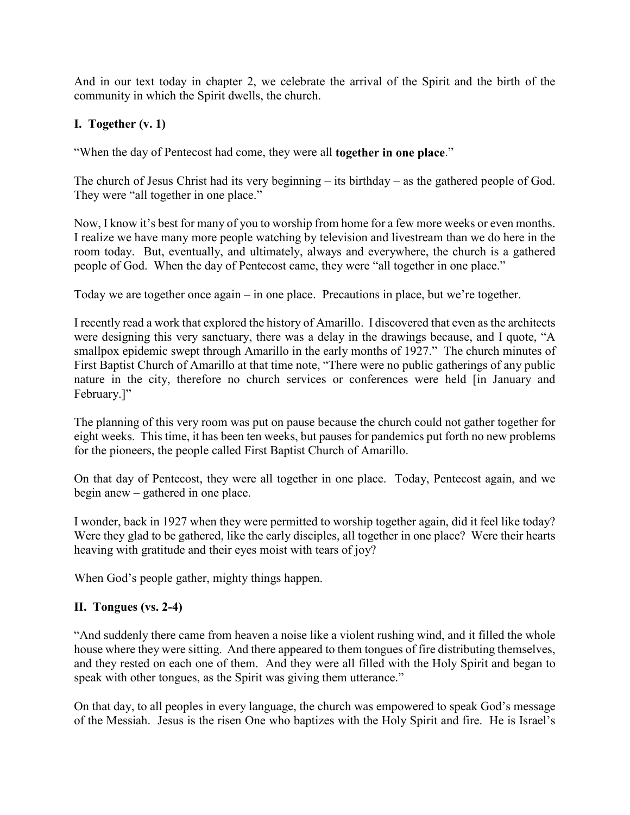And in our text today in chapter 2, we celebrate the arrival of the Spirit and the birth of the community in which the Spirit dwells, the church.

# **I. Together (v. 1)**

"When the day of Pentecost had come, they were all **together in one place**."

The church of Jesus Christ had its very beginning – its birthday – as the gathered people of God. They were "all together in one place."

Now, I know it's best for many of you to worship from home for a few more weeks or even months. I realize we have many more people watching by television and livestream than we do here in the room today. But, eventually, and ultimately, always and everywhere, the church is a gathered people of God. When the day of Pentecost came, they were "all together in one place."

Today we are together once again – in one place. Precautions in place, but we're together.

I recently read a work that explored the history of Amarillo. I discovered that even as the architects were designing this very sanctuary, there was a delay in the drawings because, and I quote, "A smallpox epidemic swept through Amarillo in the early months of 1927." The church minutes of First Baptist Church of Amarillo at that time note, "There were no public gatherings of any public nature in the city, therefore no church services or conferences were held [in January and February.]"

The planning of this very room was put on pause because the church could not gather together for eight weeks. This time, it has been ten weeks, but pauses for pandemics put forth no new problems for the pioneers, the people called First Baptist Church of Amarillo.

On that day of Pentecost, they were all together in one place. Today, Pentecost again, and we begin anew – gathered in one place.

I wonder, back in 1927 when they were permitted to worship together again, did it feel like today? Were they glad to be gathered, like the early disciples, all together in one place? Were their hearts heaving with gratitude and their eyes moist with tears of joy?

When God's people gather, mighty things happen.

## **II. Tongues (vs. 2-4)**

"And suddenly there came from heaven a noise like a violent rushing wind, and it filled the whole house where they were sitting. And there appeared to them tongues of fire distributing themselves, and they rested on each one of them. And they were all filled with the Holy Spirit and began to speak with other tongues, as the Spirit was giving them utterance."

On that day, to all peoples in every language, the church was empowered to speak God's message of the Messiah. Jesus is the risen One who baptizes with the Holy Spirit and fire. He is Israel's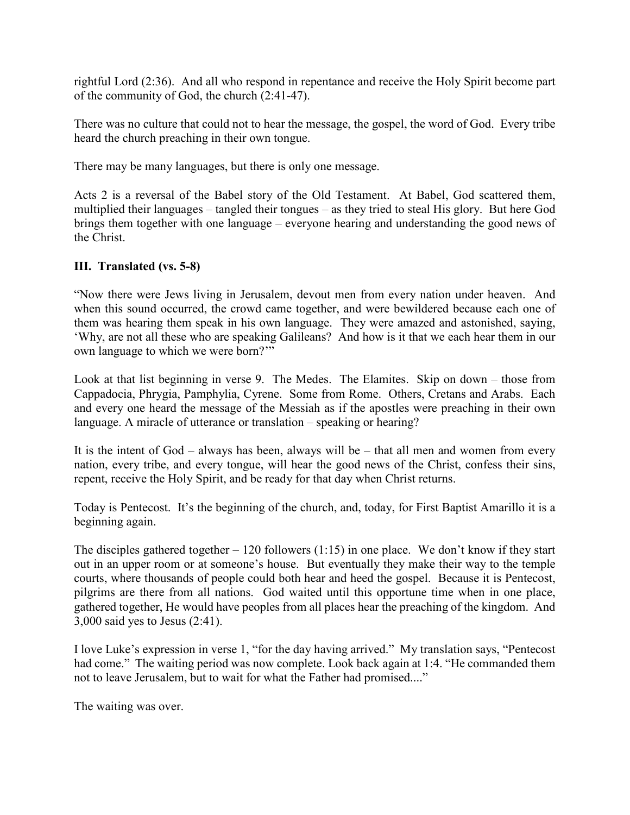rightful Lord (2:36). And all who respond in repentance and receive the Holy Spirit become part of the community of God, the church (2:41-47).

There was no culture that could not to hear the message, the gospel, the word of God. Every tribe heard the church preaching in their own tongue.

There may be many languages, but there is only one message.

Acts 2 is a reversal of the Babel story of the Old Testament. At Babel, God scattered them, multiplied their languages – tangled their tongues – as they tried to steal His glory. But here God brings them together with one language – everyone hearing and understanding the good news of the Christ.

## **III. Translated (vs. 5-8)**

"Now there were Jews living in Jerusalem, devout men from every nation under heaven. And when this sound occurred, the crowd came together, and were bewildered because each one of them was hearing them speak in his own language. They were amazed and astonished, saying, 'Why, are not all these who are speaking Galileans? And how is it that we each hear them in our own language to which we were born?""

Look at that list beginning in verse 9. The Medes. The Elamites. Skip on down – those from Cappadocia, Phrygia, Pamphylia, Cyrene. Some from Rome. Others, Cretans and Arabs. Each and every one heard the message of the Messiah as if the apostles were preaching in their own language. A miracle of utterance or translation – speaking or hearing?

It is the intent of God – always has been, always will be – that all men and women from every nation, every tribe, and every tongue, will hear the good news of the Christ, confess their sins, repent, receive the Holy Spirit, and be ready for that day when Christ returns.

Today is Pentecost. It's the beginning of the church, and, today, for First Baptist Amarillo it is a beginning again.

The disciples gathered together  $-120$  followers (1:15) in one place. We don't know if they start out in an upper room or at someone's house. But eventually they make their way to the temple courts, where thousands of people could both hear and heed the gospel. Because it is Pentecost, pilgrims are there from all nations. God waited until this opportune time when in one place, gathered together, He would have peoples from all places hear the preaching of the kingdom. And 3,000 said yes to Jesus (2:41).

I love Luke's expression in verse 1, "for the day having arrived." My translation says, "Pentecost had come." The waiting period was now complete. Look back again at 1:4. "He commanded them not to leave Jerusalem, but to wait for what the Father had promised...."

The waiting was over.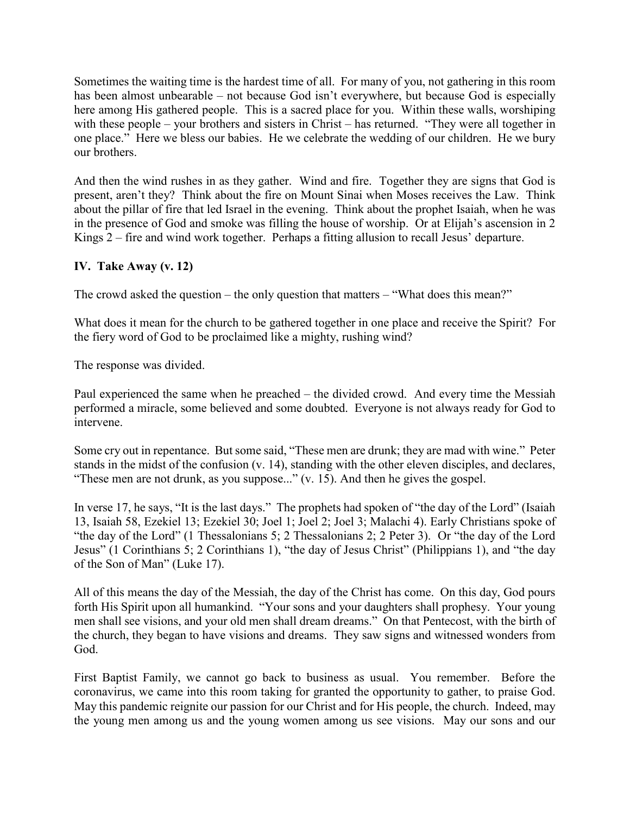Sometimes the waiting time is the hardest time of all. For many of you, not gathering in this room has been almost unbearable – not because God isn't everywhere, but because God is especially here among His gathered people. This is a sacred place for you. Within these walls, worshiping with these people – your brothers and sisters in Christ – has returned. "They were all together in one place." Here we bless our babies. He we celebrate the wedding of our children. He we bury our brothers.

And then the wind rushes in as they gather. Wind and fire. Together they are signs that God is present, aren't they? Think about the fire on Mount Sinai when Moses receives the Law. Think about the pillar of fire that led Israel in the evening. Think about the prophet Isaiah, when he was in the presence of God and smoke was filling the house of worship. Or at Elijah's ascension in 2 Kings 2 – fire and wind work together. Perhaps a fitting allusion to recall Jesus' departure.

# **IV. Take Away (v. 12)**

The crowd asked the question – the only question that matters – "What does this mean?"

What does it mean for the church to be gathered together in one place and receive the Spirit? For the fiery word of God to be proclaimed like a mighty, rushing wind?

The response was divided.

Paul experienced the same when he preached – the divided crowd. And every time the Messiah performed a miracle, some believed and some doubted. Everyone is not always ready for God to intervene.

Some cry out in repentance. But some said, "These men are drunk; they are mad with wine." Peter stands in the midst of the confusion (v. 14), standing with the other eleven disciples, and declares, "These men are not drunk, as you suppose..." (v. 15). And then he gives the gospel.

In verse 17, he says, "It is the last days." The prophets had spoken of "the day of the Lord" (Isaiah 13, Isaiah 58, Ezekiel 13; Ezekiel 30; Joel 1; Joel 2; Joel 3; Malachi 4). Early Christians spoke of "the day of the Lord" (1 Thessalonians 5; 2 Thessalonians 2; 2 Peter 3). Or "the day of the Lord Jesus" (1 Corinthians 5; 2 Corinthians 1), "the day of Jesus Christ" (Philippians 1), and "the day of the Son of Man" (Luke 17).

All of this means the day of the Messiah, the day of the Christ has come. On this day, God pours forth His Spirit upon all humankind. "Your sons and your daughters shall prophesy. Your young men shall see visions, and your old men shall dream dreams." On that Pentecost, with the birth of the church, they began to have visions and dreams. They saw signs and witnessed wonders from God.

First Baptist Family, we cannot go back to business as usual. You remember. Before the coronavirus, we came into this room taking for granted the opportunity to gather, to praise God. May this pandemic reignite our passion for our Christ and for His people, the church. Indeed, may the young men among us and the young women among us see visions. May our sons and our